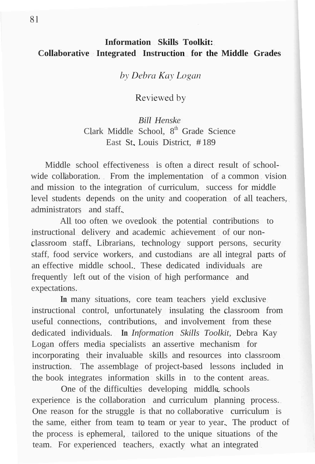## **Information Skills Toolkit: Collaborative Integrated Instruction for the Middle Grades**

by Debra Kay Logan

Reviewed by

*Bill Henske* Clark Middle School, 8<sup>th</sup> Grade Science East St. Louis District, # 189

Middle school effectiveness is often a direct result of schoolwide collaboration. From the implementation of a common vision. and mission to the integration of curriculum, success for middle level students depends on the unity and cooperation of all teachers, administrators and staff.

All too often we overlook the potential contributions to instructional delivery and academic achievement of our nonclassroom staff. Librarians, technology support persons, security staff, food service workers, and custodians are all integral parts of an effective middle school. These dedicated individuals are frequently left out of the vision of high performance and expectations.

**In** many situations, core team teachers yield exclusive instructional control, unfortunately insulating the classroom from useful connections, contributions, and involvement from these dedicated individuals. **In** *Information Skills Toolkit,* Debra Kay Logan offers media specialists an assertive mechanism for incorporating their invaluable skills and resources into classroom instruction. The assemblage of project-based lessons included in the book integrates information skills in to the content areas.

One of the difficulties developing middle schools experience is the collaboration and curriculum planning process. One reason for the struggle is that no collaborative curriculum is the same, either from team to team or year to year. The product of the process is ephemeral, tailored to the unique situations of the team. For experienced teachers, exactly what an integrated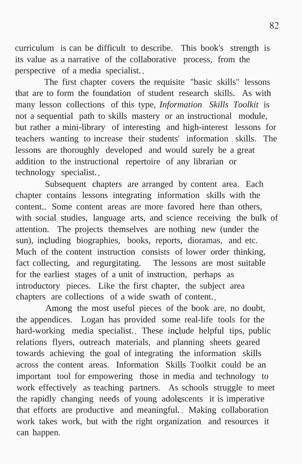curriculum is can be difficult to describe. This book's strength is its value as a narrative of the collaborative process, from the perspective of a media specialist.

The first chapter covers the requisite "basic skills" lessons that are to form the foundation of student research skills. As with many lesson collections of this type, *Information Skills Toolkit* is not a sequential path to skills mastery or an instructional module, but rather a mini-library of interesting and high-interest lessons for teachers wanting to increase their students' information skills. The lessons are thoroughly developed and would surely be a great addition to the instructional repertoire of any librarian or technology specialist.

Subsequent chapters are arranged by content area. Each chapter contains lessons integrating information skills with the content. Some content areas are more favored here than others, with social studies, language arts, and science receiving the bulk of attention. The projects themselves are nothing new (under the sun), including biographies, books, reports, dioramas, and etc. Much of the content instruction consists of lower order thinking, fact collecting, and regurgitating. The lessons are most suitable for the earliest stages of a unit of instruction, perhaps as introductory pieces. Like the first chapter, the subject area chapters are collections of a wide swath of content.

Among the most useful pieces of the book are, no doubt, the appendices. Logan has provided some real-life tools for the hard-working media specialist. These include helpful tips, public relations flyers, outreach materials, and planning sheets geared towards achieving the goal of integrating the information skills across the content areas. Information Skills Toolkit could be an important tool for empowering those in media and technology to work effectively as teaching partners. As schools struggle to meet the rapidly changing needs of young adolescents it is imperative that efforts are productive and meaningful. Making collaboration work takes work, but with the right organization and resources it can happen.